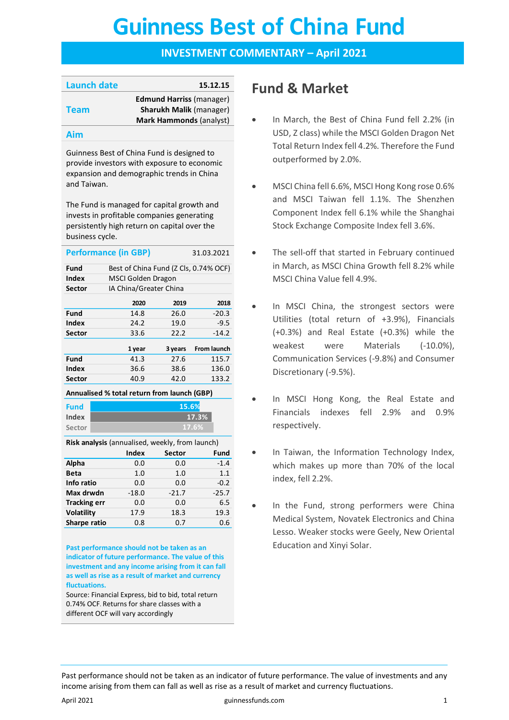# **Guinness Best of China Fund Guinness Best of China Fund**

### **INVESTMENT COMMENTARY – April 2021**

| <b>Launch date</b> | 15.12.15                        |
|--------------------|---------------------------------|
|                    | <b>Edmund Harriss (manager)</b> |
| <b>Team</b>        | <b>Sharukh Malik (manager)</b>  |
|                    | <b>Mark Hammonds (analyst)</b>  |
|                    |                                 |

#### **Aim**

Guinness Best of China Fund is designed to provide investors with exposure to economic expansion and demographic trends in China and Taiwan.

The Fund is managed for capital growth and invests in profitable companies generating persistently high return on capital over the business cycle.

| <b>Performance (in GBP)</b><br>31.03.2021   |                                       |         |                    |  |
|---------------------------------------------|---------------------------------------|---------|--------------------|--|
| Fund                                        | Best of China Fund (Z Cls, 0.74% OCF) |         |                    |  |
| Index                                       | MSCI Golden Dragon                    |         |                    |  |
| Sector                                      | IA China/Greater China                |         |                    |  |
|                                             | 2020                                  | 2019    | 2018               |  |
| Fund                                        | 14.8                                  | 26.0    | $-20.3$            |  |
| Index                                       | 24.2                                  | 19.0    | $-9.5$             |  |
| Sector                                      | 33.6                                  | 22.2    | $-14.2$            |  |
|                                             | 1 year                                | 3 years | <b>From launch</b> |  |
| Fund                                        | 41.3                                  | 27.6    | 115.7              |  |
| Index                                       | 36.6                                  | 38.6    | 136.0              |  |
| Sector                                      | 40.9                                  | 42.0    | 133.2              |  |
| Annualised % total return from launch (GBP) |                                       |         |                    |  |
| Fund                                        |                                       | 15.6%   |                    |  |

**Index Sector**

**Risk analysis** (annualised, weekly, from launch)

**17.6% 17.3%**

|                     | Index   | <b>Sector</b> | Fund    |
|---------------------|---------|---------------|---------|
| Alpha               | 0.0     | 0.0           | $-1.4$  |
| <b>Beta</b>         | 1.0     | 1.0           | 1.1     |
| Info ratio          | 0.0     | 0.0           | $-0.2$  |
| Max drwdn           | $-18.0$ | $-21.7$       | $-25.7$ |
| <b>Tracking err</b> | 0.0     | 0.0           | 6.5     |
| <b>Volatility</b>   | 17.9    | 18.3          | 19.3    |
| Sharpe ratio        | 0.8     | 0.7           | 0.6     |

**Past performance should not be taken as an indicator of future performance. The value of this investment and any income arising from it can fall as well as rise as a result of market and currency fluctuations.** 

Source: Financial Express, bid to bid, total return 0.74% OCF. Returns for share classes with a different OCF will vary accordingly

# **Fund & Market**

- In March, the Best of China Fund fell 2.2% (in USD, Z class) while the MSCI Golden Dragon Net Total Return Index fell 4.2%. Therefore the Fund outperformed by 2.0%.
- MSCI China fell 6.6%, MSCI Hong Kong rose 0.6% and MSCI Taiwan fell 1.1%. The Shenzhen Component Index fell 6.1% while the Shanghai Stock Exchange Composite Index fell 3.6%.
- The sell-off that started in February continued in March, as MSCI China Growth fell 8.2% while MSCI China Value fell 4.9%.
- In MSCI China, the strongest sectors were Utilities (total return of +3.9%), Financials (+0.3%) and Real Estate (+0.3%) while the weakest were Materials (-10.0%), Communication Services (-9.8%) and Consumer Discretionary (-9.5%).
- In MSCI Hong Kong, the Real Estate and Financials indexes fell 2.9% and 0.9% respectively.
- In Taiwan, the Information Technology Index, which makes up more than 70% of the local index, fell 2.2%.
- In the Fund, strong performers were China Medical System, Novatek Electronics and China Lesso. Weaker stocks were Geely, New Oriental Education and Xinyi Solar.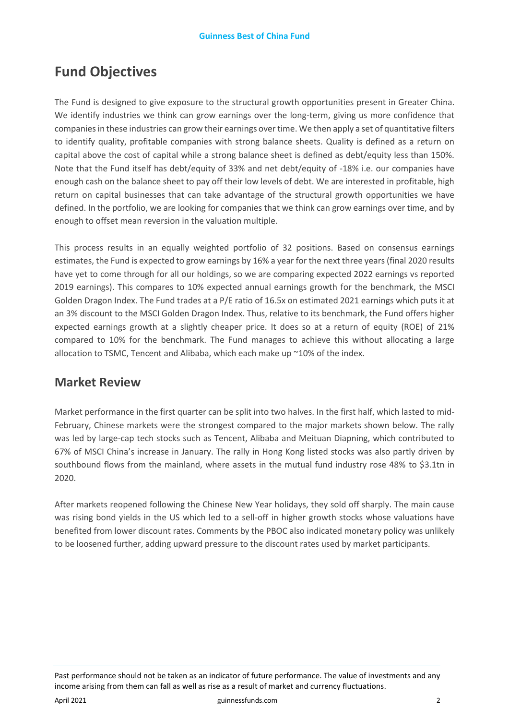# **Fund Objectives**

The Fund is designed to give exposure to the structural growth opportunities present in Greater China. We identify industries we think can grow earnings over the long-term, giving us more confidence that companies in these industries can grow their earnings over time. We then apply a set of quantitative filters to identify quality, profitable companies with strong balance sheets. Quality is defined as a return on capital above the cost of capital while a strong balance sheet is defined as debt/equity less than 150%. Note that the Fund itself has debt/equity of 33% and net debt/equity of -18% i.e. our companies have enough cash on the balance sheet to pay off their low levels of debt. We are interested in profitable, high return on capital businesses that can take advantage of the structural growth opportunities we have defined. In the portfolio, we are looking for companies that we think can grow earnings over time, and by enough to offset mean reversion in the valuation multiple.

This process results in an equally weighted portfolio of 32 positions. Based on consensus earnings estimates, the Fund is expected to grow earnings by 16% a year for the next three years (final 2020 results have yet to come through for all our holdings, so we are comparing expected 2022 earnings vs reported 2019 earnings). This compares to 10% expected annual earnings growth for the benchmark, the MSCI Golden Dragon Index. The Fund trades at a P/E ratio of 16.5x on estimated 2021 earnings which puts it at an 3% discount to the MSCI Golden Dragon Index. Thus, relative to its benchmark, the Fund offers higher expected earnings growth at a slightly cheaper price. It does so at a return of equity (ROE) of 21% compared to 10% for the benchmark. The Fund manages to achieve this without allocating a large allocation to TSMC, Tencent and Alibaba, which each make up ~10% of the index.

### **Market Review**

Market performance in the first quarter can be split into two halves. In the first half, which lasted to mid-February, Chinese markets were the strongest compared to the major markets shown below. The rally was led by large-cap tech stocks such as Tencent, Alibaba and Meituan Diapning, which contributed to 67% of MSCI China's increase in January. The rally in Hong Kong listed stocks was also partly driven by southbound flows from the mainland, where assets in the mutual fund industry rose 48% to \$3.1tn in 2020.

After markets reopened following the Chinese New Year holidays, they sold off sharply. The main cause was rising bond yields in the US which led to a sell-off in higher growth stocks whose valuations have benefited from lower discount rates. Comments by the PBOC also indicated monetary policy was unlikely to be loosened further, adding upward pressure to the discount rates used by market participants.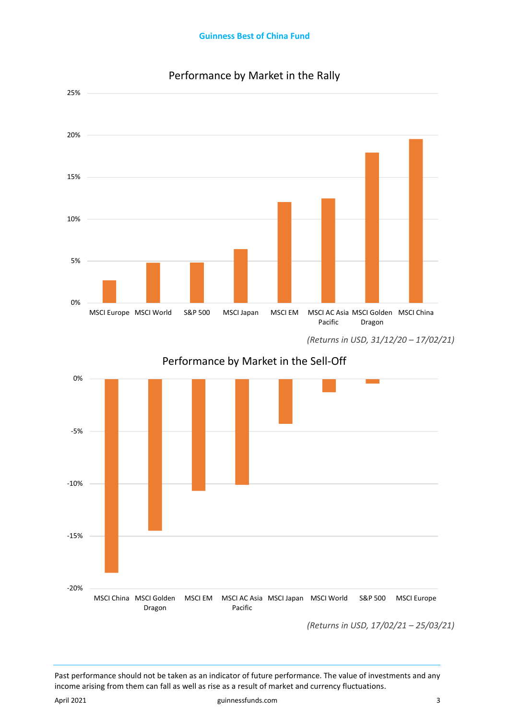

### Performance by Market in the Rally

*(Returns in USD, 31/12/20 – 17/02/21)*

Performance by Market in the Sell-Off



*(Returns in USD, 17/02/21 – 25/03/21)*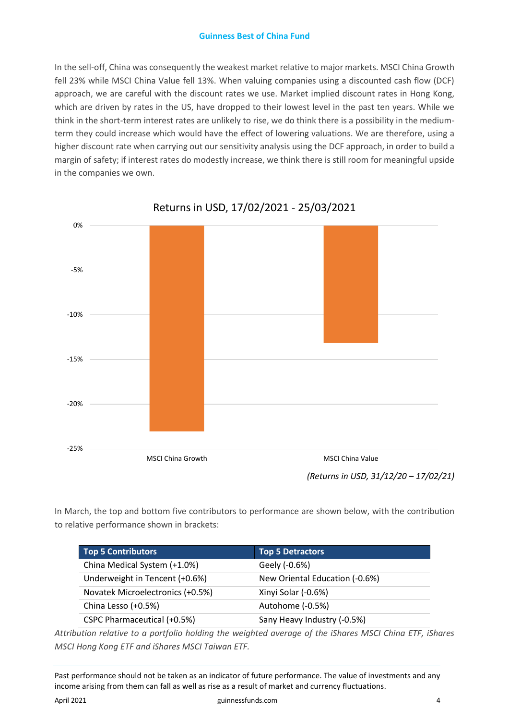#### **Guinness Best of China Fund**

In the sell-off, China was consequently the weakest market relative to major markets. MSCI China Growth fell 23% while MSCI China Value fell 13%. When valuing companies using a discounted cash flow (DCF) approach, we are careful with the discount rates we use. Market implied discount rates in Hong Kong, which are driven by rates in the US, have dropped to their lowest level in the past ten years. While we think in the short-term interest rates are unlikely to rise, we do think there is a possibility in the mediumterm they could increase which would have the effect of lowering valuations. We are therefore, using a higher discount rate when carrying out our sensitivity analysis using the DCF approach, in order to build a margin of safety; if interest rates do modestly increase, we think there is still room for meaningful upside in the companies we own.



Returns in USD, 17/02/2021 - 25/03/2021

In March, the top and bottom five contributors to performance are shown below, with the contribution to relative performance shown in brackets:

| Top 5 Contributors               | <b>Top 5 Detractors</b>        |
|----------------------------------|--------------------------------|
| China Medical System (+1.0%)     | Geely (-0.6%)                  |
| Underweight in Tencent (+0.6%)   | New Oriental Education (-0.6%) |
| Novatek Microelectronics (+0.5%) | Xinyi Solar (-0.6%)            |
| China Lesso (+0.5%)              | Autohome (-0.5%)               |
| CSPC Pharmaceutical (+0.5%)      | Sany Heavy Industry (-0.5%)    |

*Attribution relative to a portfolio holding the weighted average of the iShares MSCI China ETF, iShares MSCI Hong Kong ETF and iShares MSCI Taiwan ETF.*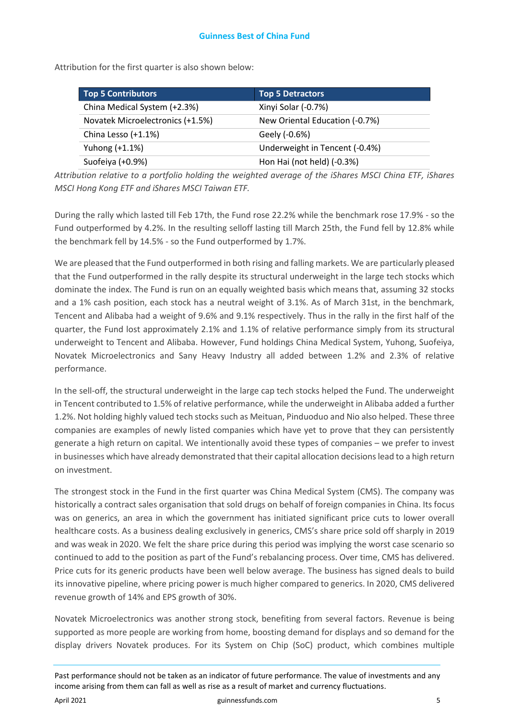Attribution for the first quarter is also shown below:

| Top 5 Contributors               | <b>Top 5 Detractors</b>        |
|----------------------------------|--------------------------------|
| China Medical System (+2.3%)     | Xinyi Solar (-0.7%)            |
| Novatek Microelectronics (+1.5%) | New Oriental Education (-0.7%) |
| China Lesso (+1.1%)              | Geely (-0.6%)                  |
| Yuhong $(+1.1%)$                 | Underweight in Tencent (-0.4%) |
| Suofeiya (+0.9%)                 | Hon Hai (not held) (-0.3%)     |

*Attribution relative to a portfolio holding the weighted average of the iShares MSCI China ETF, iShares MSCI Hong Kong ETF and iShares MSCI Taiwan ETF.* 

During the rally which lasted till Feb 17th, the Fund rose 22.2% while the benchmark rose 17.9% - so the Fund outperformed by 4.2%. In the resulting selloff lasting till March 25th, the Fund fell by 12.8% while the benchmark fell by 14.5% - so the Fund outperformed by 1.7%.

We are pleased that the Fund outperformed in both rising and falling markets. We are particularly pleased that the Fund outperformed in the rally despite its structural underweight in the large tech stocks which dominate the index. The Fund is run on an equally weighted basis which means that, assuming 32 stocks and a 1% cash position, each stock has a neutral weight of 3.1%. As of March 31st, in the benchmark, Tencent and Alibaba had a weight of 9.6% and 9.1% respectively. Thus in the rally in the first half of the quarter, the Fund lost approximately 2.1% and 1.1% of relative performance simply from its structural underweight to Tencent and Alibaba. However, Fund holdings China Medical System, Yuhong, Suofeiya, Novatek Microelectronics and Sany Heavy Industry all added between 1.2% and 2.3% of relative performance.

In the sell-off, the structural underweight in the large cap tech stocks helped the Fund. The underweight in Tencent contributed to 1.5% of relative performance, while the underweight in Alibaba added a further 1.2%. Not holding highly valued tech stocks such as Meituan, Pinduoduo and Nio also helped. These three companies are examples of newly listed companies which have yet to prove that they can persistently generate a high return on capital. We intentionally avoid these types of companies – we prefer to invest in businesses which have already demonstrated that their capital allocation decisions lead to a high return on investment.

The strongest stock in the Fund in the first quarter was China Medical System (CMS). The company was historically a contract sales organisation that sold drugs on behalf of foreign companies in China. Its focus was on generics, an area in which the government has initiated significant price cuts to lower overall healthcare costs. As a business dealing exclusively in generics, CMS's share price sold off sharply in 2019 and was weak in 2020. We felt the share price during this period was implying the worst case scenario so continued to add to the position as part of the Fund's rebalancing process. Over time, CMS has delivered. Price cuts for its generic products have been well below average. The business has signed deals to build its innovative pipeline, where pricing power is much higher compared to generics. In 2020, CMS delivered revenue growth of 14% and EPS growth of 30%.

Novatek Microelectronics was another strong stock, benefiting from several factors. Revenue is being supported as more people are working from home, boosting demand for displays and so demand for the display drivers Novatek produces. For its System on Chip (SoC) product, which combines multiple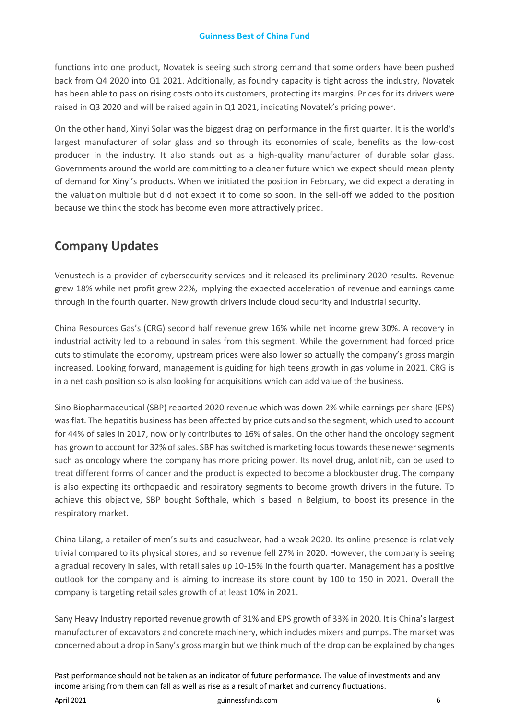functions into one product, Novatek is seeing such strong demand that some orders have been pushed back from Q4 2020 into Q1 2021. Additionally, as foundry capacity is tight across the industry, Novatek has been able to pass on rising costs onto its customers, protecting its margins. Prices for its drivers were raised in Q3 2020 and will be raised again in Q1 2021, indicating Novatek's pricing power.

On the other hand, Xinyi Solar was the biggest drag on performance in the first quarter. It is the world's largest manufacturer of solar glass and so through its economies of scale, benefits as the low-cost producer in the industry. It also stands out as a high-quality manufacturer of durable solar glass. Governments around the world are committing to a cleaner future which we expect should mean plenty of demand for Xinyi's products. When we initiated the position in February, we did expect a derating in the valuation multiple but did not expect it to come so soon. In the sell-off we added to the position because we think the stock has become even more attractively priced.

# **Company Updates**

Venustech is a provider of cybersecurity services and it released its preliminary 2020 results. Revenue grew 18% while net profit grew 22%, implying the expected acceleration of revenue and earnings came through in the fourth quarter. New growth drivers include cloud security and industrial security.

China Resources Gas's (CRG) second half revenue grew 16% while net income grew 30%. A recovery in industrial activity led to a rebound in sales from this segment. While the government had forced price cuts to stimulate the economy, upstream prices were also lower so actually the company's gross margin increased. Looking forward, management is guiding for high teens growth in gas volume in 2021. CRG is in a net cash position so is also looking for acquisitions which can add value of the business.

Sino Biopharmaceutical (SBP) reported 2020 revenue which was down 2% while earnings per share (EPS) was flat. The hepatitis business has been affected by price cuts and so the segment, which used to account for 44% of sales in 2017, now only contributes to 16% of sales. On the other hand the oncology segment has grown to account for 32% of sales. SBP has switched is marketing focus towards these newer segments such as oncology where the company has more pricing power. Its novel drug, anlotinib, can be used to treat different forms of cancer and the product is expected to become a blockbuster drug. The company is also expecting its orthopaedic and respiratory segments to become growth drivers in the future. To achieve this objective, SBP bought Softhale, which is based in Belgium, to boost its presence in the respiratory market.

China Lilang, a retailer of men's suits and casualwear, had a weak 2020. Its online presence is relatively trivial compared to its physical stores, and so revenue fell 27% in 2020. However, the company is seeing a gradual recovery in sales, with retail sales up 10-15% in the fourth quarter. Management has a positive outlook for the company and is aiming to increase its store count by 100 to 150 in 2021. Overall the company is targeting retail sales growth of at least 10% in 2021.

Sany Heavy Industry reported revenue growth of 31% and EPS growth of 33% in 2020. It is China's largest manufacturer of excavators and concrete machinery, which includes mixers and pumps. The market was concerned about a drop in Sany's gross margin but we think much of the drop can be explained by changes

Past performance should not be taken as an indicator of future performance. The value of investments and any income arising from them can fall as well as rise as a result of market and currency fluctuations.

April 2021 **but a community of the community of the community of the community of the community of the community of the community of the community of the community of the community of the community of the community of the**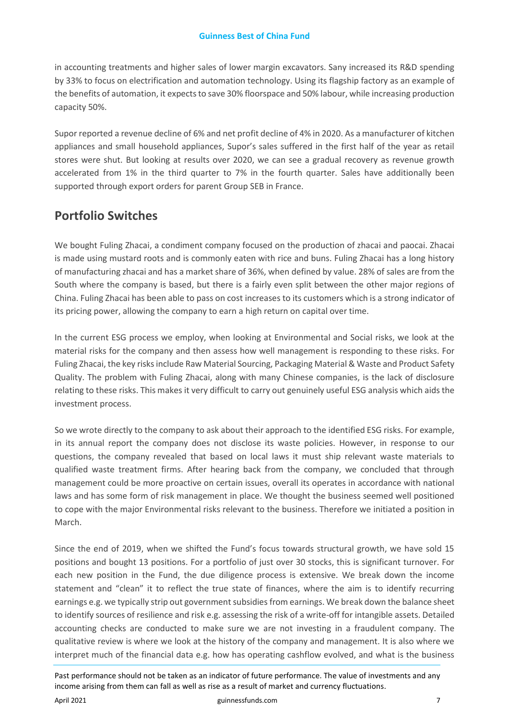in accounting treatments and higher sales of lower margin excavators. Sany increased its R&D spending by 33% to focus on electrification and automation technology. Using its flagship factory as an example of the benefits of automation, it expects to save 30% floorspace and 50% labour, while increasing production capacity 50%.

Supor reported a revenue decline of 6% and net profit decline of 4% in 2020. As a manufacturer of kitchen appliances and small household appliances, Supor's sales suffered in the first half of the year as retail stores were shut. But looking at results over 2020, we can see a gradual recovery as revenue growth accelerated from 1% in the third quarter to 7% in the fourth quarter. Sales have additionally been supported through export orders for parent Group SEB in France.

### **Portfolio Switches**

We bought Fuling Zhacai, a condiment company focused on the production of zhacai and paocai. Zhacai is made using mustard roots and is commonly eaten with rice and buns. Fuling Zhacai has a long history of manufacturing zhacai and has a market share of 36%, when defined by value. 28% of sales are from the South where the company is based, but there is a fairly even split between the other major regions of China. Fuling Zhacai has been able to pass on cost increases to its customers which is a strong indicator of its pricing power, allowing the company to earn a high return on capital over time.

In the current ESG process we employ, when looking at Environmental and Social risks, we look at the material risks for the company and then assess how well management is responding to these risks. For Fuling Zhacai, the key risks include Raw Material Sourcing, Packaging Material & Waste and Product Safety Quality. The problem with Fuling Zhacai, along with many Chinese companies, is the lack of disclosure relating to these risks. This makes it very difficult to carry out genuinely useful ESG analysis which aids the investment process.

So we wrote directly to the company to ask about their approach to the identified ESG risks. For example, in its annual report the company does not disclose its waste policies. However, in response to our questions, the company revealed that based on local laws it must ship relevant waste materials to qualified waste treatment firms. After hearing back from the company, we concluded that through management could be more proactive on certain issues, overall its operates in accordance with national laws and has some form of risk management in place. We thought the business seemed well positioned to cope with the major Environmental risks relevant to the business. Therefore we initiated a position in March.

Since the end of 2019, when we shifted the Fund's focus towards structural growth, we have sold 15 positions and bought 13 positions. For a portfolio of just over 30 stocks, this is significant turnover. For each new position in the Fund, the due diligence process is extensive. We break down the income statement and "clean" it to reflect the true state of finances, where the aim is to identify recurring earnings e.g. we typically strip out government subsidies from earnings. We break down the balance sheet to identify sources of resilience and risk e.g. assessing the risk of a write-off for intangible assets. Detailed accounting checks are conducted to make sure we are not investing in a fraudulent company. The qualitative review is where we look at the history of the company and management. It is also where we interpret much of the financial data e.g. how has operating cashflow evolved, and what is the business

```
Past performance should not be taken as an indicator of future performance. The value of investments and any 
income arising from them can fall as well as rise as a result of market and currency fluctuations.
```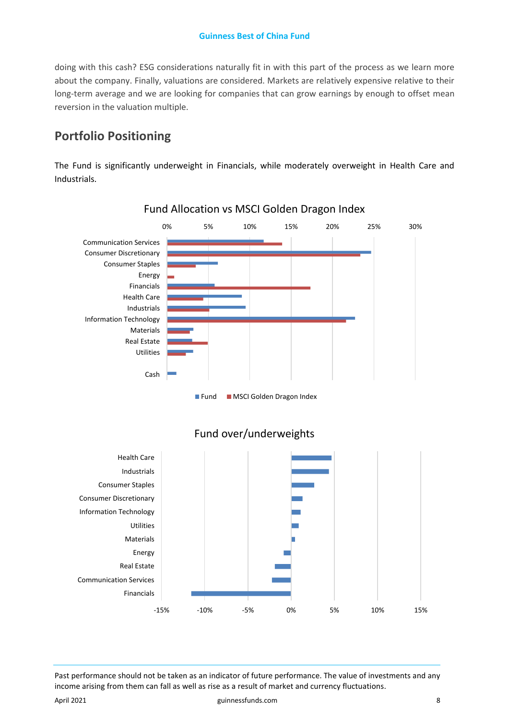doing with this cash? ESG considerations naturally fit in with this part of the process as we learn more about the company. Finally, valuations are considered. Markets are relatively expensive relative to their long-term average and we are looking for companies that can grow earnings by enough to offset mean reversion in the valuation multiple.

### **Portfolio Positioning**

The Fund is significantly underweight in Financials, while moderately overweight in Health Care and Industrials.



### Fund Allocation vs MSCI Golden Dragon Index

**Fund MSCI Golden Dragon Index** 



### Fund over/underweights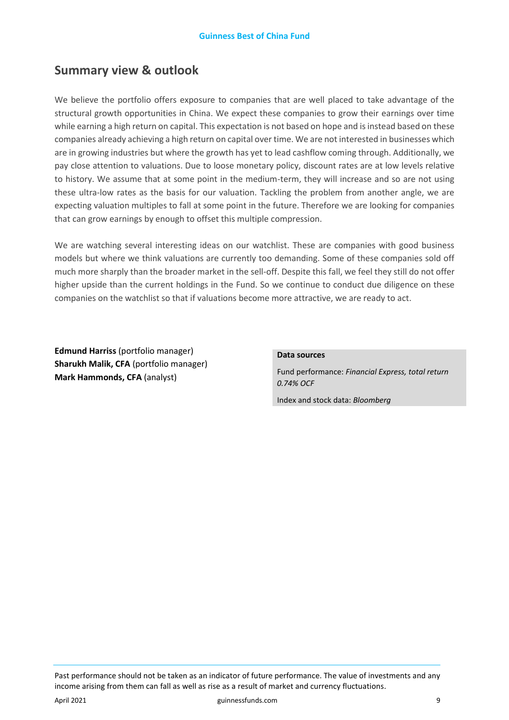### **Summary view & outlook**

We believe the portfolio offers exposure to companies that are well placed to take advantage of the structural growth opportunities in China. We expect these companies to grow their earnings over time while earning a high return on capital. This expectation is not based on hope and is instead based on these companies already achieving a high return on capital over time. We are not interested in businesses which are in growing industries but where the growth has yet to lead cashflow coming through. Additionally, we pay close attention to valuations. Due to loose monetary policy, discount rates are at low levels relative to history. We assume that at some point in the medium-term, they will increase and so are not using these ultra-low rates as the basis for our valuation. Tackling the problem from another angle, we are expecting valuation multiples to fall at some point in the future. Therefore we are looking for companies that can grow earnings by enough to offset this multiple compression.

We are watching several interesting ideas on our watchlist. These are companies with good business models but where we think valuations are currently too demanding. Some of these companies sold off much more sharply than the broader market in the sell-off. Despite this fall, we feel they still do not offer higher upside than the current holdings in the Fund. So we continue to conduct due diligence on these companies on the watchlist so that if valuations become more attractive, we are ready to act.

**Edmund Harriss** (portfolio manager) **Sharukh Malik, CFA** (portfolio manager) **Mark Hammonds, CFA** (analyst)

#### **Data sources**

Fund performance: *Financial Express, total return 0.74% OCF*

Index and stock data: *Bloomberg*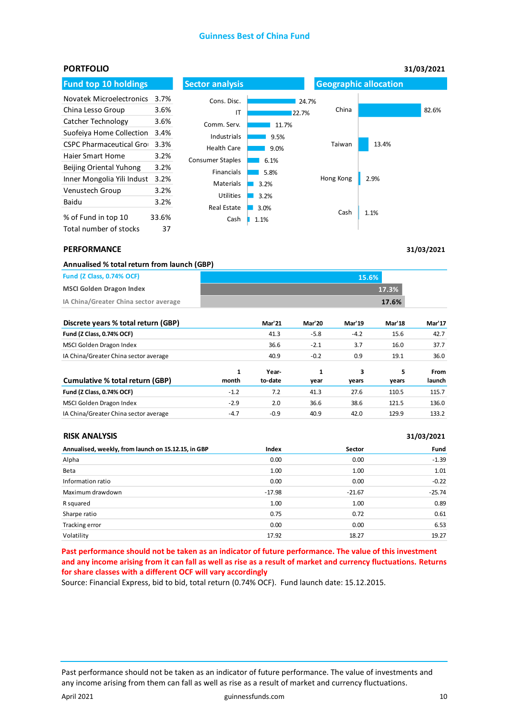#### **Guinness Best of China Fund**

| <b>PORTFOLIO</b>                |       |                         |       |           |                              | 31/03/2021 |  |
|---------------------------------|-------|-------------------------|-------|-----------|------------------------------|------------|--|
| <b>Fund top 10 holdings</b>     |       | <b>Sector analysis</b>  |       |           | <b>Geographic allocation</b> |            |  |
| <b>Novatek Microelectronics</b> | 3.7%  | Cons. Disc.             |       | 24.7%     |                              |            |  |
| China Lesso Group               | 3.6%  | ΙT                      | 22.7% | China     |                              | 82.6%      |  |
| Catcher Technology              | 3.6%  | Comm. Serv.             | 11.7% |           |                              |            |  |
| Suofeiva Home Collection        | 3.4%  | Industrials             | 9.5%  |           |                              |            |  |
| <b>CSPC Pharmaceutical Grou</b> | 3.3%  | <b>Health Care</b>      | 9.0%  | Taiwan    | 13.4%                        |            |  |
| <b>Haier Smart Home</b>         | 3.2%  | <b>Consumer Staples</b> | 6.1%  |           |                              |            |  |
| Beijing Oriental Yuhong         | 3.2%  | Financials              | 5.8%  |           |                              |            |  |
| Inner Mongolia Yili Indust      | 3.2%  | <b>Materials</b>        | 3.2%  | Hong Kong | 2.9%                         |            |  |
| Venustech Group                 | 3.2%  | <b>Utilities</b>        |       |           |                              |            |  |
| Baidu                           | 3.2%  |                         | 3.2%  |           |                              |            |  |
| % of Fund in top 10             | 33.6% | <b>Real Estate</b>      | 3.0%  | Cash      | 1.1%                         |            |  |
| Total number of stocks          | 37    | Cash                    | 1.1%  |           |                              |            |  |

#### **PERFORMANCE**

| Annualised % total return from launch (GBP) |       |  |  |  |
|---------------------------------------------|-------|--|--|--|
| <b>Fund (Z Class, 0.74% OCF)</b>            | 15.6% |  |  |  |
| <b>MSCI Golden Dragon Index</b>             | 17.3% |  |  |  |
| IA China/Greater China sector average       | 17.6% |  |  |  |

| Discrete years % total return (GBP)   |        | <b>Mar'21</b> | <b>Mar'20</b> | <b>Mar'19</b> | <b>Mar'18</b> | <b>Mar'17</b> |
|---------------------------------------|--------|---------------|---------------|---------------|---------------|---------------|
| Fund (Z Class, 0.74% OCF)             |        | 41.3          | $-5.8$        | $-4.2$        | 15.6          | 42.7          |
| MSCI Golden Dragon Index              |        | 36.6          | $-2.1$        | 3.7           | 16.0          | 37.7          |
| IA China/Greater China sector average |        | 40.9          | $-0.2$        | 0.9           | 19.1          | 36.0          |
|                                       | 1      | Year-         | 1             | 3             | 5             | From          |
| Cumulative % total return (GBP)       | month  | to-date       | year          | years         | years         | launch        |
| Fund (Z Class, 0.74% OCF)             | $-1.2$ | 7.2           | 41.3          | 27.6          | 110.5         | 115.7         |
| MSCI Golden Dragon Index              | $-2.9$ | 2.0           | 36.6          | 38.6          | 121.5         | 136.0         |
| IA China/Greater China sector average | $-4.7$ | $-0.9$        | 40.9          | 42.0          | 129.9         | 133.2         |

| <b>RISK ANALYSIS</b>                                |          |          | 31/03/2021 |
|-----------------------------------------------------|----------|----------|------------|
| Annualised, weekly, from launch on 15.12.15, in GBP | Index    | Sector   | Fund       |
| Alpha                                               | 0.00     | 0.00     | $-1.39$    |
| Beta                                                | 1.00     | 1.00     | 1.01       |
| Information ratio                                   | 0.00     | 0.00     | $-0.22$    |
| Maximum drawdown                                    | $-17.98$ | $-21.67$ | $-25.74$   |
| R squared                                           | 1.00     | 1.00     | 0.89       |
| Sharpe ratio                                        | 0.75     | 0.72     | 0.61       |
| Tracking error                                      | 0.00     | 0.00     | 6.53       |
| Volatility                                          | 17.92    | 18.27    | 19.27      |

**Past performance should not be taken as an indicator of future performance. The value of this investment and any income arising from it can fall as well as rise as a result of market and currency fluctuations. Returns for share classes with a different OCF will vary accordingly**

Source: Financial Express, bid to bid, total return (0.74% OCF). Fund launch date: 15.12.2015.

Past performance should not be taken as an indicator of future performance. The value of investments and any income arising from them can fall as well as rise as a result of market and currency fluctuations.

**31/03/2021**